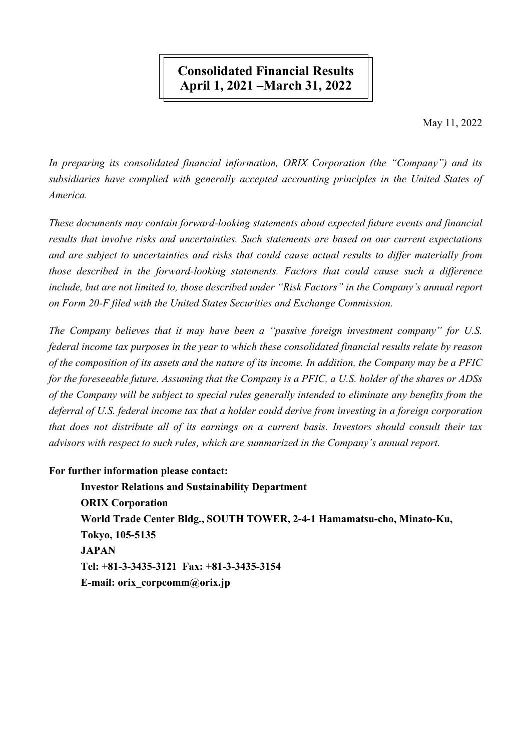# **Consolidated Financial Results** April 1, 2021 – March 31, 2022

May 11, 2022

In preparing its consolidated financial information, ORIX Corporation (the "Company") and its subsidiaries have complied with generally accepted accounting principles in the United States of America.

These documents may contain forward-looking statements about expected future events and financial results that involve risks and uncertainties. Such statements are based on our current expectations and are subject to uncertainties and risks that could cause actual results to differ materially from those described in the forward-looking statements. Factors that could cause such a difference include, but are not limited to, those described under "Risk Factors" in the Company's annual report on Form 20-F filed with the United States Securities and Exchange Commission.

The Company believes that it may have been a "passive foreign investment company" for U.S. federal income tax purposes in the year to which these consolidated financial results relate by reason of the composition of its assets and the nature of its income. In addition, the Company may be a PFIC for the foreseeable future. Assuming that the Company is a PFIC, a U.S. holder of the shares or ADSs of the Company will be subject to special rules generally intended to eliminate any benefits from the deferral of U.S. federal income tax that a holder could derive from investing in a foreign corporation that does not distribute all of its earnings on a current basis. Investors should consult their tax advisors with respect to such rules, which are summarized in the Company's annual report.

## For further information please contact:

**Investor Relations and Sustainability Department ORIX Corporation** World Trade Center Bldg., SOUTH TOWER, 2-4-1 Hamamatsu-cho, Minato-Ku, Tokyo, 105-5135 **JAPAN** Tel: +81-3-3435-3121 Fax: +81-3-3435-3154 E-mail: orix corpcomm@orix.jp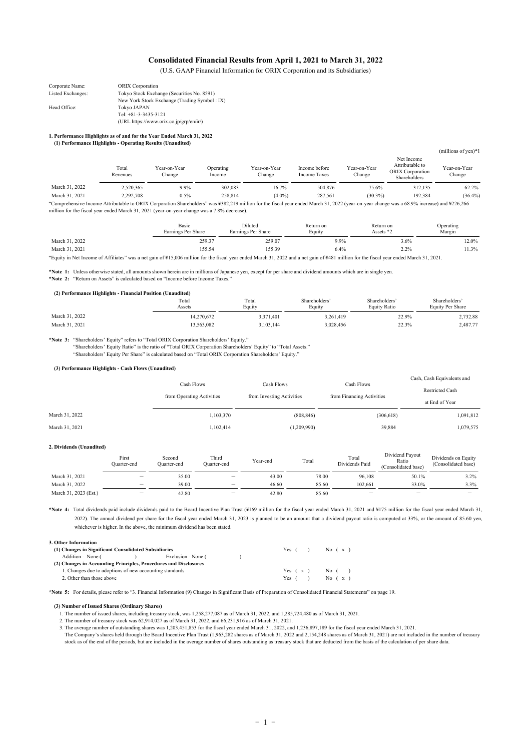#### **Consolidated Financial Results from April 1, 2021 to March 31, 2022**

(U.S. GAAP Financial Information for ORIX Corporation and its Subsidiaries)

| Corporate Name:   | <b>ORIX</b> Corporation                      |
|-------------------|----------------------------------------------|
| Listed Exchanges: | Tokyo Stock Exchange (Securities No. 8591)   |
|                   | New York Stock Exchange (Trading Symbol: IX) |
| Head Office:      | Tokyo JAPAN                                  |
|                   | Tel: $+81-3-3435-3121$                       |
|                   | (URL https://www.orix.co.jp/grp/en/ir/)      |

#### **1. Performance Highlights as of and for the Year Ended March 31, 2022 (1) Performance Highlights - Operating Results (Unaudited)**

|                |                   |                                                                                                                                                                                            |                     |                        |                               |                        |                                                                          | (millions of yen) $*1$ |
|----------------|-------------------|--------------------------------------------------------------------------------------------------------------------------------------------------------------------------------------------|---------------------|------------------------|-------------------------------|------------------------|--------------------------------------------------------------------------|------------------------|
|                | Total<br>Revenues | Year-on-Year<br>Change                                                                                                                                                                     | Operating<br>Income | Year-on-Year<br>Change | Income before<br>Income Taxes | Year-on-Year<br>Change | Net Income<br>Attributable to<br><b>ORIX</b> Corporation<br>Shareholders | Year-on-Year<br>Change |
| March 31, 2022 | 2,520,365         | 9.9%                                                                                                                                                                                       | 302.083             | 16.7%                  | 504,876                       | 75.6%                  | 312,135                                                                  | 62.2%                  |
| March 31, 2021 | 2.292.708         | 0.5%                                                                                                                                                                                       | 258,814             | $(4.0\%)$              | 287.561                       | $(30.3\%)$             | 192.384                                                                  | (36.4%                 |
|                |                   | "Comprehensive Income Attributable to ORIX Corporation Shareholders" was ¥382,219 million for the fiscal year ended March 31, 2022 (year-on-year change was a 68.9% increase) and ¥226,266 |                     |                        |                               |                        |                                                                          |                        |

million for the fiscal year ended March 31, 2021 (year-on-year change was a 7.8% decrease).

|                | Basic<br>Earnings Per Share | Diluted<br>Earnings Per Share | Return on<br>Equity | Return on<br>Assets $*$ ? | Operating<br>Margin |
|----------------|-----------------------------|-------------------------------|---------------------|---------------------------|---------------------|
| March 31, 2022 | 259.37                      | 259.07                        | 9.9%                | 3.6%                      | 12.0%               |
| March 31, 2021 | 155.54                      | 155.39                        | 6.4%                | 2.2%                      | 11.3%               |

"Equity in Net Income of Affiliates" was a net gain of ¥15,006 million for the fiscal year ended March 31, 2022 and a net gain of ¥481 million for the fiscal year ended March 31, 2021.

**\*Note 1:** Unless otherwise stated, all amounts shown herein are in millions of Japanese yen, except for per share and dividend amounts which are in single yen. **\*Note 2:** "Return on Assets" is calculated based on "Income before Income Taxes."

| (2) Performance Highlights - Financial Position (Unaudited) |                 |                 |                         |                               |                                   |  |  |  |
|-------------------------------------------------------------|-----------------|-----------------|-------------------------|-------------------------------|-----------------------------------|--|--|--|
|                                                             | Total<br>Assets | Total<br>Equity | Shareholders'<br>Equity | Shareholders'<br>Equity Ratio | Shareholders'<br>Equity Per Share |  |  |  |
| March 31, 2022                                              | 14.270.672      | 3.371.401       | 3.261.419               | 22.9%                         | 2.732.88                          |  |  |  |
| March 31, 2021                                              | 3.563.082       | 3,103,144       | 3.028.456               | 22.3%                         | 2,487.77                          |  |  |  |

**\*Note 3:** "Shareholders' Equity" refers to "Total ORIX Corporation Shareholders' Equity."

"Shareholders' Equity Ratio" is the ratio of "Total ORIX Corporation Shareholders' Equity" to "Total Assets." "Shareholders' Equity Per Share" is calculated based on "Total ORIX Corporation Shareholders' Equity."

#### **(3) Performance Highlights - Cash Flows (Unaudited)**

|                | Cash Flows<br>from Operating Activities | Cash Flows<br>from Investing Activities | Cash Flows<br>from Financing Activities | Cash, Cash Equivalents and<br><b>Restricted Cash</b><br>at End of Year |
|----------------|-----------------------------------------|-----------------------------------------|-----------------------------------------|------------------------------------------------------------------------|
| March 31, 2022 | 1,103,370                               | (808, 846)                              | (306, 618)                              | 1,091,812                                                              |
| March 31, 2021 | 1,102,414                               | (1,209,990)                             | 39,884                                  | 1,079,575                                                              |
|                |                                         |                                         |                                         |                                                                        |

#### **2. Dividends (Unaudited)**

|                       | First<br>Ouarter-end     | Second<br>Ouarter-end | Third<br>Ouarter-end                 | Year-end | Total | Total<br>Dividends Paid | Dividend Payout<br>Ratio<br>(Consolidated base) | Dividends on Equity<br>(Consolidated base) |
|-----------------------|--------------------------|-----------------------|--------------------------------------|----------|-------|-------------------------|-------------------------------------------------|--------------------------------------------|
| March 31, 2021        | $-$                      | 35.00                 | —                                    | 43.00    | 78.00 | 96.108                  | 50.1%                                           | 3.2%                                       |
| March 31, 2022        | $\overline{\phantom{0}}$ | 39.00                 | $\overline{\phantom{0}}$             | 46.60    | 85.60 | 102.661                 | 33.0%                                           | 3.3%                                       |
| March 31, 2023 (Est.) | $\overline{\phantom{0}}$ | 42.80                 | $\qquad \qquad \  \, -\qquad \qquad$ | 42.80    | 85.60 | $\qquad \qquad \  \, -$ | $\overline{\phantom{0}}$                        | -                                          |

**\*Note 4:** Total dividends paid include dividends paid to the Board Incentive Plan Trust (¥169 million for the fiscal year ended March 31, 2021 and ¥175 million for the fiscal year ended March 31, 2022). The annual dividend per share for the fiscal year ended March 31, 2023 is planned to be an amount that a dividend payout ratio is computed at 33%, or the amount of 85.60 yen, whichever is higher. In the above, the minimum dividend has been stated.

**3. Other Information**

| (1) Changes in Significant Consolidated Subsidiaries             | Yes (     | No (x)     |
|------------------------------------------------------------------|-----------|------------|
| Exclusion - None (<br>Addition - None (                          |           |            |
| (2) Changes in Accounting Principles, Procedures and Disclosures |           |            |
| 1. Changes due to adoptions of new accounting standards          | Yes $(x)$ | No $($ $)$ |
| 2. Other than those above                                        | Yes (     | No $(x)$   |

**\*Note 5:** For details, please refer to "3. Financial Information (9) Changes in Significant Basis of Preparation of Consolidated Financial Statements" on page 19.

#### **(3) Number of Issued Shares (Ordinary Shares)**

1. The number of issued shares, including treasury stock, was 1,258,277,087 as of March 31, 2022, and 1,285,724,480 as of March 31, 2021.

2. The number of treasury stock was 62,914,027 as of March 31, 2022, and 66,231,916 as of March 31, 2021.

3. The average number of outstanding shares was 1,203,451,853 for the fiscal year ended March 31, 2022, and 1,236,897,189 for the fiscal year ended March 31, 2021. The Company's shares held through the Board Incentive Plan Trust (1,963,282 shares as of March 31, 2022 and 2,154,248 shares as of March 31, 2021) are not included in the number of treasury stock as of the end of the periods, but are included in the average number of shares outstanding as treasury stock that are deducted from the basis of the calculation of per share data.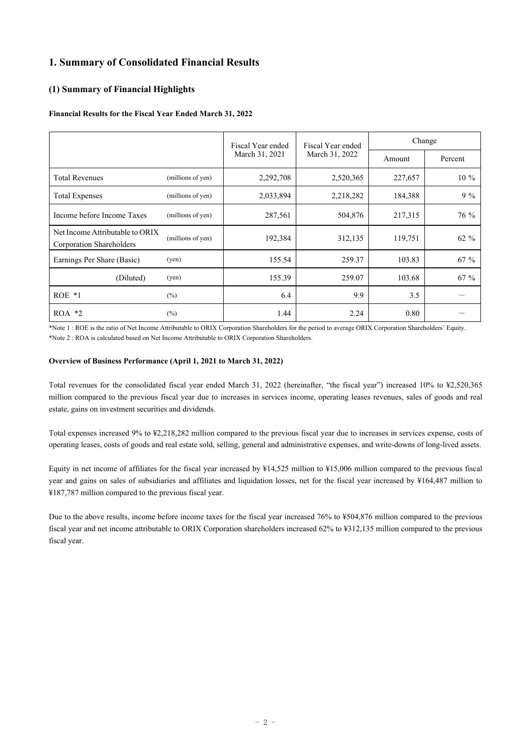## **1. Summary of Consolidated Financial Results**

### **(1) Summary of Financial Highlights**

### **Financial Results for the Fiscal Year Ended March 31, 2022**

|                                                             |                   | Fiscal Year ended | Fiscal Year ended | Change  |         |
|-------------------------------------------------------------|-------------------|-------------------|-------------------|---------|---------|
|                                                             |                   | March 31, 2021    | March 31, 2022    | Amount  | Percent |
| <b>Total Revenues</b>                                       | (millions of yen) | 2,292,708         | 2,520,365         | 227,657 | $10\%$  |
| <b>Total Expenses</b>                                       | (millions of yen) | 2,033,894         | 2,218,282         | 184,388 | $9\%$   |
| Income before Income Taxes                                  | (millions of yen) | 287,561           | 504,876           | 217,315 | 76 %    |
| Net Income Attributable to ORIX<br>Corporation Shareholders | (millions of yen) | 192,384           | 312,135           | 119,751 | 62 %    |
| Earnings Per Share (Basic)                                  | (yen)             | 155.54            | 259.37            | 103.83  | $67 \%$ |
| (Diluted)                                                   | (yen)             | 155.39            | 259.07            | 103.68  | $67 \%$ |
| $ROE *1$                                                    | $(\%)$            | 6.4               | 9.9               | 3.5     |         |
| $ROA *2$                                                    | $(\%)$            | 1.44              | 2.24              | 0.80    |         |

\*Note 1 : ROE is the ratio of Net Income Attributable to ORIX Corporation Shareholders for the period to average ORIX Corporation Shareholders' Equity. \*Note 2 : ROA is calculated based on Net Income Attributable to ORIX Corporation Shareholders.

### **Overview of Business Performance (April 1, 2021 to March 31, 2022)**

Total revenues for the consolidated fiscal year ended March 31, 2022 (hereinafter, "the fiscal year") increased 10% to ¥2,520,365 million compared to the previous fiscal year due to increases in services income, operating leases revenues, sales of goods and real estate, gains on investment securities and dividends.

Total expenses increased 9% to ¥2,218,282 million compared to the previous fiscal year due to increases in services expense, costs of operating leases, costs of goods and real estate sold, selling, general and administrative expenses, and write-downs of long-lived assets.

Equity in net income of affiliates for the fiscal year increased by ¥14,525 million to ¥15,006 million compared to the previous fiscal year and gains on sales of subsidiaries and affiliates and liquidation losses, net for the fiscal year increased by ¥164,487 million to ¥187,787 million compared to the previous fiscal year.

Due to the above results, income before income taxes for the fiscal year increased 76% to ¥504,876 million compared to the previous fiscal year and net income attributable to ORIX Corporation shareholders increased 62% to ¥312,135 million compared to the previous fiscal year.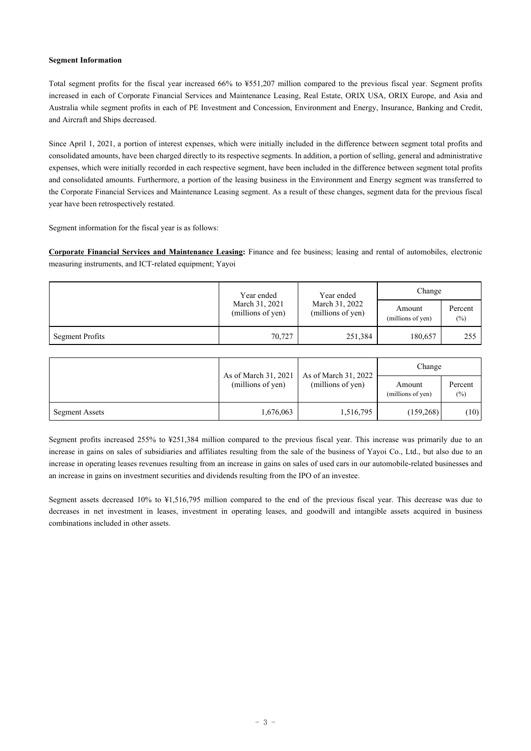#### **Segment Information**

Total segment profits for the fiscal year increased 66% to ¥551,207 million compared to the previous fiscal year. Segment profits increased in each of Corporate Financial Services and Maintenance Leasing, Real Estate, ORIX USA, ORIX Europe, and Asia and Australia while segment profits in each of PE Investment and Concession, Environment and Energy, Insurance, Banking and Credit, and Aircraft and Ships decreased.

Since April 1, 2021, a portion of interest expenses, which were initially included in the difference between segment total profits and consolidated amounts, have been charged directly to its respective segments. In addition, a portion of selling, general and administrative expenses, which were initially recorded in each respective segment, have been included in the difference between segment total profits and consolidated amounts. Furthermore, a portion of the leasing business in the Environment and Energy segment was transferred to the Corporate Financial Services and Maintenance Leasing segment. As a result of these changes, segment data for the previous fiscal year have been retrospectively restated.

Segment information for the fiscal year is as follows:

**Corporate Financial Services and Maintenance Leasing:** Finance and fee business; leasing and rental of automobiles, electronic measuring instruments, and ICT-related equipment; Yayoi

|                 | Year ended                          | Year ended                          | Change                      |                   |  |
|-----------------|-------------------------------------|-------------------------------------|-----------------------------|-------------------|--|
|                 | March 31, 2021<br>(millions of yen) | March 31, 2022<br>(millions of yen) | Amount<br>(millions of yen) | Percent<br>$(\%)$ |  |
| Segment Profits | 70,727                              | 251,384                             | 180,657                     | 255               |  |

|                | As of March 31, 2021<br>(millions of yen) | As of March 31, 2022 | Change                      |                   |  |
|----------------|-------------------------------------------|----------------------|-----------------------------|-------------------|--|
|                |                                           | (millions of yen)    | Amount<br>(millions of yen) | Percent<br>$(\%)$ |  |
| Segment Assets | 1,676,063                                 | 1,516,795            | (159,268)                   | (10)              |  |

Segment profits increased 255% to ¥251,384 million compared to the previous fiscal year. This increase was primarily due to an increase in gains on sales of subsidiaries and affiliates resulting from the sale of the business of Yayoi Co., Ltd., but also due to an increase in operating leases revenues resulting from an increase in gains on sales of used cars in our automobile-related businesses and an increase in gains on investment securities and dividends resulting from the IPO of an investee.

Segment assets decreased 10% to ¥1,516,795 million compared to the end of the previous fiscal year. This decrease was due to decreases in net investment in leases, investment in operating leases, and goodwill and intangible assets acquired in business combinations included in other assets.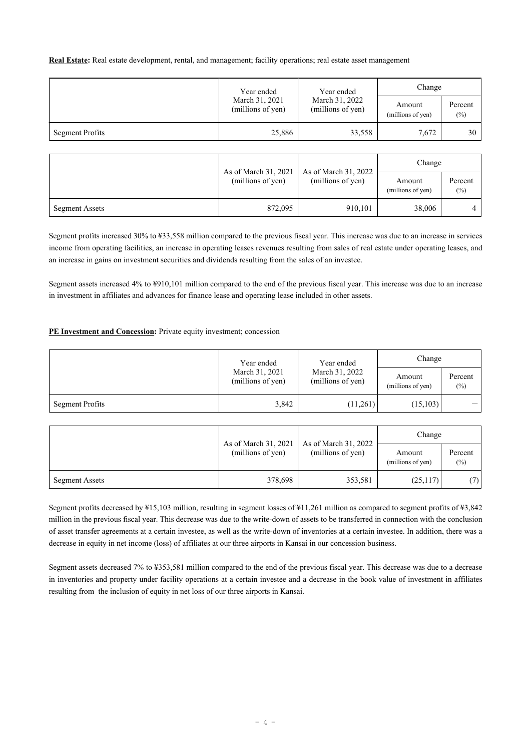**Real Estate:** Real estate development, rental, and management; facility operations; real estate asset management

|                 | Year ended<br>Year ended            |                                     | Change                      |                   |  |
|-----------------|-------------------------------------|-------------------------------------|-----------------------------|-------------------|--|
|                 | March 31, 2021<br>(millions of yen) | March 31, 2022<br>(millions of yen) | Amount<br>(millions of yen) | Percent<br>$(\%)$ |  |
| Segment Profits | 25,886                              | 33,558                              | 7,672                       | 30                |  |

|                       |                                           | As of March 31, 2022 | Change                      |                   |  |
|-----------------------|-------------------------------------------|----------------------|-----------------------------|-------------------|--|
|                       | As of March 31, 2021<br>(millions of yen) | (millions of yen)    | Amount<br>(millions of yen) | Percent<br>$(\%)$ |  |
| <b>Segment Assets</b> | 872,095                                   | 910,101              | 38,006                      |                   |  |

Segment profits increased 30% to ¥33,558 million compared to the previous fiscal year. This increase was due to an increase in services income from operating facilities, an increase in operating leases revenues resulting from sales of real estate under operating leases, and an increase in gains on investment securities and dividends resulting from the sales of an investee.

Segment assets increased 4% to ¥910,101 million compared to the end of the previous fiscal year. This increase was due to an increase in investment in affiliates and advances for finance lease and operating lease included in other assets.

### **PE Investment and Concession:** Private equity investment; concession

|                        | Year ended                          | Year ended                          | Change                      |                   |
|------------------------|-------------------------------------|-------------------------------------|-----------------------------|-------------------|
|                        | March 31, 2021<br>(millions of yen) | March 31, 2022<br>(millions of yen) | Amount<br>(millions of yen) | Percent<br>$(\%)$ |
| <b>Segment Profits</b> | 3,842                               | (11,261)                            | (15, 103)                   |                   |

|                       | As of March 31, 2021<br>(millions of yen) |                                           | Change                      |                   |
|-----------------------|-------------------------------------------|-------------------------------------------|-----------------------------|-------------------|
|                       |                                           | As of March 31, 2022<br>(millions of yen) | Amount<br>(millions of yen) | Percent<br>$(\%)$ |
| <b>Segment Assets</b> | 378,698                                   | 353,581                                   | (25,117)                    | (7)               |

Segment profits decreased by ¥15,103 million, resulting in segment losses of ¥11,261 million as compared to segment profits of ¥3,842 million in the previous fiscal year. This decrease was due to the write-down of assets to be transferred in connection with the conclusion of asset transfer agreements at a certain investee, as well as the write-down of inventories at a certain investee. In addition, there was a decrease in equity in net income (loss) of affiliates at our three airports in Kansai in our concession business.

Segment assets decreased 7% to ¥353,581 million compared to the end of the previous fiscal year. This decrease was due to a decrease in inventories and property under facility operations at a certain investee and a decrease in the book value of investment in affiliates resulting from the inclusion of equity in net loss of our three airports in Kansai.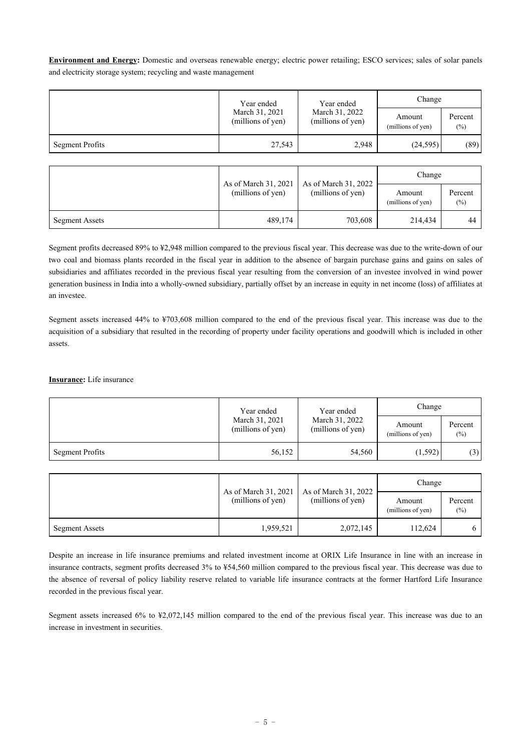**Environment and Energy:** Domestic and overseas renewable energy; electric power retailing; ESCO services; sales of solar panels and electricity storage system; recycling and waste management

|                        | Year ended<br>March 31, 2021<br>(millions of yen) | Year ended                          | Change                      |                   |
|------------------------|---------------------------------------------------|-------------------------------------|-----------------------------|-------------------|
|                        |                                                   | March 31, 2022<br>(millions of yen) | Amount<br>(millions of yen) | Percent<br>$(\%)$ |
| <b>Segment Profits</b> | 27,543                                            | 2,948                               | (24,595)                    | (89)              |

|                       | As of March 31, 2021 | As of March 31, 2022<br>(millions of yen) | Change                      |                   |  |
|-----------------------|----------------------|-------------------------------------------|-----------------------------|-------------------|--|
|                       | (millions of yen)    |                                           | Amount<br>(millions of yen) | Percent<br>$(\%)$ |  |
| <b>Segment Assets</b> | 489,174              | 703,608                                   | 214,434                     | 44                |  |

Segment profits decreased 89% to ¥2,948 million compared to the previous fiscal year. This decrease was due to the write-down of our two coal and biomass plants recorded in the fiscal year in addition to the absence of bargain purchase gains and gains on sales of subsidiaries and affiliates recorded in the previous fiscal year resulting from the conversion of an investee involved in wind power generation business in India into a wholly-owned subsidiary, partially offset by an increase in equity in net income (loss) of affiliates at an investee.

Segment assets increased 44% to ¥703,608 million compared to the end of the previous fiscal year. This increase was due to the acquisition of a subsidiary that resulted in the recording of property under facility operations and goodwill which is included in other assets.

**Insurance:** Life insurance

|                 | Year ended<br>March 31, 2021<br>(millions of yen) | Year ended                          | Change                      |                   |
|-----------------|---------------------------------------------------|-------------------------------------|-----------------------------|-------------------|
|                 |                                                   | March 31, 2022<br>(millions of yen) | Amount<br>(millions of yen) | Percent<br>$(\%)$ |
| Segment Profits | 56,152                                            | 54,560                              | (1,592)                     | (3)               |

|                |                                           | As of March 31, 2022<br>(millions of yen) | Change                      |                   |  |
|----------------|-------------------------------------------|-------------------------------------------|-----------------------------|-------------------|--|
|                | As of March 31, 2021<br>(millions of yen) |                                           | Amount<br>(millions of yen) | Percent<br>$(\%)$ |  |
| Segment Assets | 1,959,521                                 | 2,072,145                                 | 112.624                     |                   |  |

Despite an increase in life insurance premiums and related investment income at ORIX Life Insurance in line with an increase in insurance contracts, segment profits decreased 3% to ¥54,560 million compared to the previous fiscal year. This decrease was due to the absence of reversal of policy liability reserve related to variable life insurance contracts at the former Hartford Life Insurance recorded in the previous fiscal year.

Segment assets increased 6% to ¥2,072,145 million compared to the end of the previous fiscal year. This increase was due to an increase in investment in securities.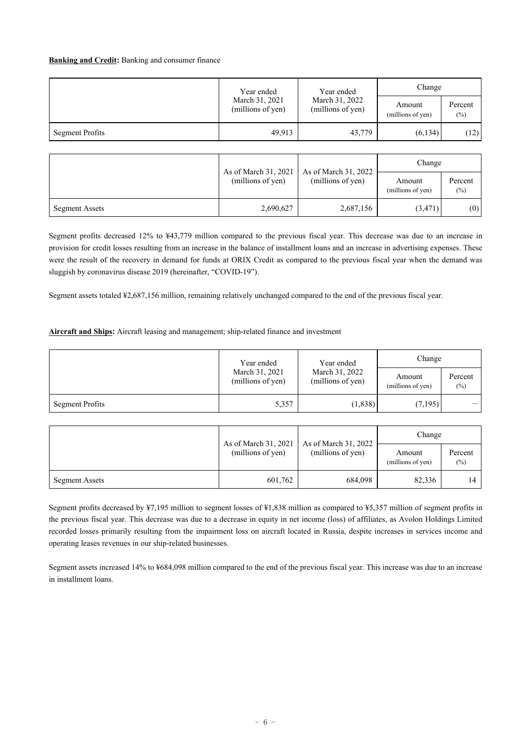#### **Banking and Credit:** Banking and consumer finance

|                 | Year ended                          | Year ended                          | Change                      |                   |
|-----------------|-------------------------------------|-------------------------------------|-----------------------------|-------------------|
|                 | March 31, 2021<br>(millions of yen) | March 31, 2022<br>(millions of yen) | Amount<br>(millions of yen) | Percent<br>$(\%)$ |
| Segment Profits | 49,913                              | 43,779                              | (6, 134)                    | (12)              |

|                       | As of March 31, 2021 |                                           | Change                      |                   |
|-----------------------|----------------------|-------------------------------------------|-----------------------------|-------------------|
|                       | (millions of yen)    | As of March 31, 2022<br>(millions of yen) | Amount<br>(millions of yen) | Percent<br>$(\%)$ |
| <b>Segment Assets</b> | 2,690,627            | 2,687,156                                 | (3,471)                     | (0)               |

Segment profits decreased 12% to ¥43,779 million compared to the previous fiscal year. This decrease was due to an increase in provision for credit losses resulting from an increase in the balance of installment loans and an increase in advertising expenses. These were the result of the recovery in demand for funds at ORIX Credit as compared to the previous fiscal year when the demand was sluggish by coronavirus disease 2019 (hereinafter, "COVID-19").

Segment assets totaled ¥2,687,156 million, remaining relatively unchanged compared to the end of the previous fiscal year.

#### **Aircraft and Ships:** Aircraft leasing and management; ship-related finance and investment

|                        | Year ended                          | Year ended                          | Change                      |                   |
|------------------------|-------------------------------------|-------------------------------------|-----------------------------|-------------------|
|                        | March 31, 2021<br>(millions of yen) | March 31, 2022<br>(millions of yen) | Amount<br>(millions of yen) | Percent<br>$(\%)$ |
| <b>Segment Profits</b> | 5,357                               | (1,838)                             | (7,195)                     |                   |

|                       |                                           |                                           | Change                      |                   |
|-----------------------|-------------------------------------------|-------------------------------------------|-----------------------------|-------------------|
|                       | As of March 31, 2021<br>(millions of yen) | As of March 31, 2022<br>(millions of yen) | Amount<br>(millions of yen) | Percent<br>$(\%)$ |
| <b>Segment Assets</b> | 601,762                                   | 684,098                                   | 82,336                      | 14                |

Segment profits decreased by ¥7,195 million to segment losses of ¥1,838 million as compared to ¥5,357 million of segment profits in the previous fiscal year. This decrease was due to a decrease in equity in net income (loss) of affiliates, as Avolon Holdings Limited recorded losses primarily resulting from the impairment loss on aircraft located in Russia, despite increases in services income and operating leases revenues in our ship-related businesses.

Segment assets increased 14% to ¥684,098 million compared to the end of the previous fiscal year. This increase was due to an increase in installment loans.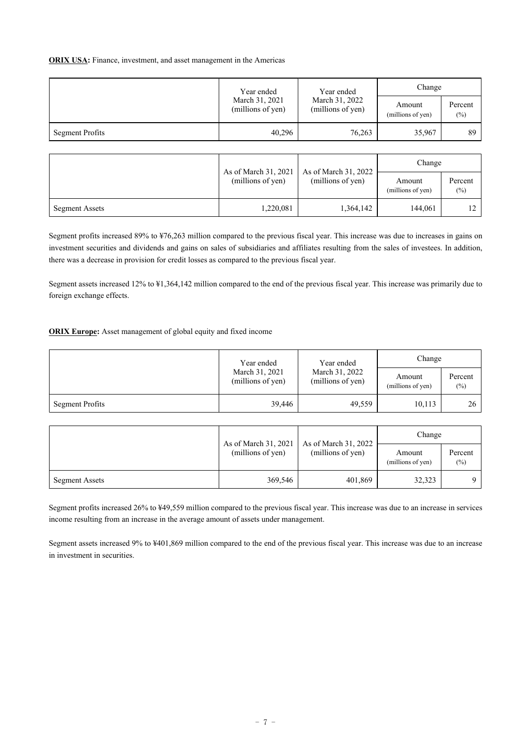#### **ORIX USA:** Finance, investment, and asset management in the Americas

|                        | Year ended                          | Year ended                          | Change                      |                   |
|------------------------|-------------------------------------|-------------------------------------|-----------------------------|-------------------|
|                        | March 31, 2021<br>(millions of yen) | March 31, 2022<br>(millions of yen) | Amount<br>(millions of yen) | Percent<br>$(\%)$ |
| <b>Segment Profits</b> | 40,296                              | 76,263                              | 35,967                      | 89                |

|                       | As of March 31, 2021 |                                           | Change                      |                   |
|-----------------------|----------------------|-------------------------------------------|-----------------------------|-------------------|
|                       | (millions of yen)    | As of March 31, 2022<br>(millions of yen) | Amount<br>(millions of yen) | Percent<br>$(\%)$ |
| <b>Segment Assets</b> | 1,220,081            | 1,364,142                                 | 144.061                     | 12                |

Segment profits increased 89% to ¥76,263 million compared to the previous fiscal year. This increase was due to increases in gains on investment securities and dividends and gains on sales of subsidiaries and affiliates resulting from the sales of investees. In addition, there was a decrease in provision for credit losses as compared to the previous fiscal year.

Segment assets increased 12% to ¥1,364,142 million compared to the end of the previous fiscal year. This increase was primarily due to foreign exchange effects.

### **ORIX Europe:** Asset management of global equity and fixed income

|                        | Year ended                          | Year ended                          | Change                      |                   |  |
|------------------------|-------------------------------------|-------------------------------------|-----------------------------|-------------------|--|
|                        | March 31, 2021<br>(millions of yen) | March 31, 2022<br>(millions of yen) | Amount<br>(millions of yen) | Percent<br>$(\%)$ |  |
| <b>Segment Profits</b> | 39,446                              | 49,559                              | 10,113                      | 26                |  |

|                       | As of March 31, 2021 | As of March 31, 2022 | Change                      |                   |  |
|-----------------------|----------------------|----------------------|-----------------------------|-------------------|--|
|                       | (millions of yen)    | (millions of yen)    | Amount<br>(millions of yen) | Percent<br>$(\%)$ |  |
| <b>Segment Assets</b> | 369,546              | 401,869              | 32,323                      |                   |  |

Segment profits increased 26% to ¥49,559 million compared to the previous fiscal year. This increase was due to an increase in services income resulting from an increase in the average amount of assets under management.

Segment assets increased 9% to ¥401,869 million compared to the end of the previous fiscal year. This increase was due to an increase in investment in securities.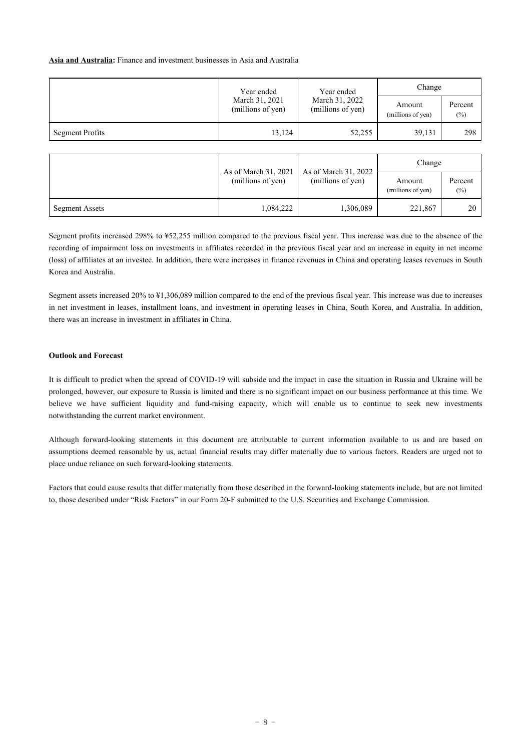### **Asia and Australia:** Finance and investment businesses in Asia and Australia

|                 | Year ended                          | Year ended                          | Change                      |                   |  |
|-----------------|-------------------------------------|-------------------------------------|-----------------------------|-------------------|--|
|                 | March 31, 2021<br>(millions of yen) | March 31, 2022<br>(millions of yen) | Amount<br>(millions of yen) | Percent<br>$(\%)$ |  |
| Segment Profits | 13,124                              | 52,255                              | 39.131                      | 298               |  |

|                       | As of March 31, 2021 | As of March 31, 2022 | Change                      |                   |  |
|-----------------------|----------------------|----------------------|-----------------------------|-------------------|--|
|                       | (millions of yen)    | (millions of yen)    | Amount<br>(millions of yen) | Percent<br>$(\%)$ |  |
| <b>Segment Assets</b> | 1,084,222            | 1,306,089            | 221,867                     | 20                |  |

Segment profits increased 298% to ¥52,255 million compared to the previous fiscal year. This increase was due to the absence of the recording of impairment loss on investments in affiliates recorded in the previous fiscal year and an increase in equity in net income (loss) of affiliates at an investee. In addition, there were increases in finance revenues in China and operating leases revenues in South Korea and Australia.

Segment assets increased 20% to ¥1,306,089 million compared to the end of the previous fiscal year. This increase was due to increases in net investment in leases, installment loans, and investment in operating leases in China, South Korea, and Australia. In addition, there was an increase in investment in affiliates in China.

#### **Outlook and Forecast**

It is difficult to predict when the spread of COVID-19 will subside and the impact in case the situation in Russia and Ukraine will be prolonged, however, our exposure to Russia is limited and there is no significant impact on our business performance at this time. We believe we have sufficient liquidity and fund-raising capacity, which will enable us to continue to seek new investments notwithstanding the current market environment.

Although forward-looking statements in this document are attributable to current information available to us and are based on assumptions deemed reasonable by us, actual financial results may differ materially due to various factors. Readers are urged not to place undue reliance on such forward-looking statements.

Factors that could cause results that differ materially from those described in the forward-looking statements include, but are not limited to, those described under "Risk Factors" in our Form 20-F submitted to the U.S. Securities and Exchange Commission.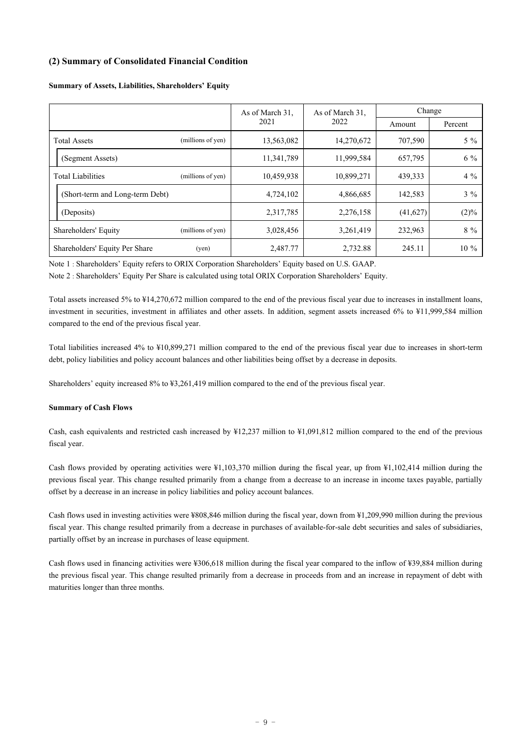### **(2) Summary of Consolidated Financial Condition**

|                                 |                   | As of March 31, | As of March 31, | Change   |         |  |
|---------------------------------|-------------------|-----------------|-----------------|----------|---------|--|
|                                 |                   | 2021            | 2022            | Amount   | Percent |  |
| <b>Total Assets</b>             | (millions of yen) | 13,563,082      | 14,270,672      | 707,590  | $5\%$   |  |
| (Segment Assets)                |                   | 11,341,789      | 11,999,584      | 657,795  | $6\%$   |  |
| <b>Total Liabilities</b>        | (millions of yen) | 10,459,938      | 10,899,271      | 439,333  | $4\%$   |  |
| (Short-term and Long-term Debt) |                   | 4,724,102       | 4,866,685       | 142,583  | $3\%$   |  |
| (Deposits)                      |                   | 2,317,785       | 2,276,158       | (41,627) | $(2)\%$ |  |
| Shareholders' Equity            | (millions of yen) | 3,028,456       | 3,261,419       | 232,963  | $8\%$   |  |
| Shareholders' Equity Per Share  | (yen)             | 2,487.77        | 2,732.88        | 245.11   | $10\%$  |  |

#### **Summary of Assets, Liabilities, Shareholders' Equity**

Note 1 : Shareholders' Equity refers to ORIX Corporation Shareholders' Equity based on U.S. GAAP.

Note 2 : Shareholders' Equity Per Share is calculated using total ORIX Corporation Shareholders' Equity.

Total assets increased 5% to ¥14,270,672 million compared to the end of the previous fiscal year due to increases in installment loans, investment in securities, investment in affiliates and other assets. In addition, segment assets increased 6% to ¥11,999,584 million compared to the end of the previous fiscal year.

Total liabilities increased 4% to ¥10,899,271 million compared to the end of the previous fiscal year due to increases in short-term debt, policy liabilities and policy account balances and other liabilities being offset by a decrease in deposits.

Shareholders' equity increased 8% to ¥3,261,419 million compared to the end of the previous fiscal year.

### **Summary of Cash Flows**

Cash, cash equivalents and restricted cash increased by ¥12,237 million to ¥1,091,812 million compared to the end of the previous fiscal year.

Cash flows provided by operating activities were ¥1,103,370 million during the fiscal year, up from ¥1,102,414 million during the previous fiscal year. This change resulted primarily from a change from a decrease to an increase in income taxes payable, partially offset by a decrease in an increase in policy liabilities and policy account balances.

Cash flows used in investing activities were ¥808,846 million during the fiscal year, down from ¥1,209,990 million during the previous fiscal year. This change resulted primarily from a decrease in purchases of available-for-sale debt securities and sales of subsidiaries, partially offset by an increase in purchases of lease equipment.

Cash flows used in financing activities were ¥306,618 million during the fiscal year compared to the inflow of ¥39,884 million during the previous fiscal year. This change resulted primarily from a decrease in proceeds from and an increase in repayment of debt with maturities longer than three months.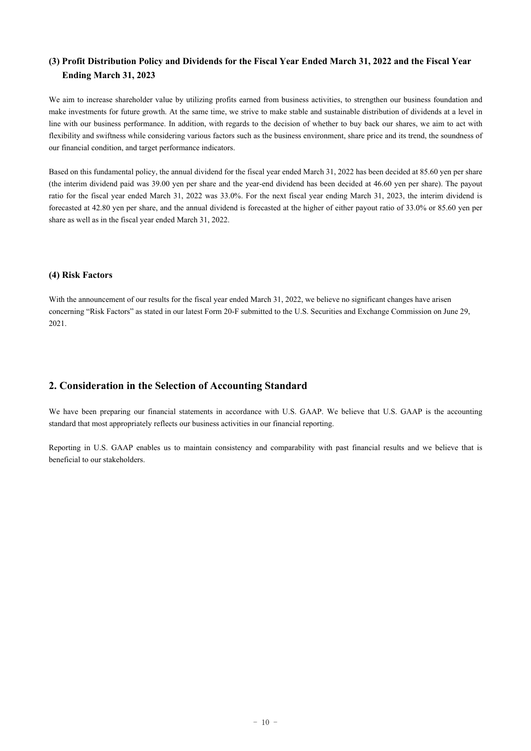## **(3) Profit Distribution Policy and Dividends for the Fiscal Year Ended March 31, 2022 and the Fiscal Year Ending March 31, 2023**

We aim to increase shareholder value by utilizing profits earned from business activities, to strengthen our business foundation and make investments for future growth. At the same time, we strive to make stable and sustainable distribution of dividends at a level in line with our business performance. In addition, with regards to the decision of whether to buy back our shares, we aim to act with flexibility and swiftness while considering various factors such as the business environment, share price and its trend, the soundness of our financial condition, and target performance indicators.

Based on this fundamental policy, the annual dividend for the fiscal year ended March 31, 2022 has been decided at 85.60 yen per share (the interim dividend paid was 39.00 yen per share and the year-end dividend has been decided at 46.60 yen per share). The payout ratio for the fiscal year ended March 31, 2022 was 33.0%. For the next fiscal year ending March 31, 2023, the interim dividend is forecasted at 42.80 yen per share, and the annual dividend is forecasted at the higher of either payout ratio of 33.0% or 85.60 yen per share as well as in the fiscal year ended March 31, 2022.

### **(4) Risk Factors**

With the announcement of our results for the fiscal year ended March 31, 2022, we believe no significant changes have arisen concerning "Risk Factors" as stated in our latest Form 20-F submitted to the U.S. Securities and Exchange Commission on June 29, 2021.

## **2. Consideration in the Selection of Accounting Standard**

We have been preparing our financial statements in accordance with U.S. GAAP. We believe that U.S. GAAP is the accounting standard that most appropriately reflects our business activities in our financial reporting.

Reporting in U.S. GAAP enables us to maintain consistency and comparability with past financial results and we believe that is beneficial to our stakeholders.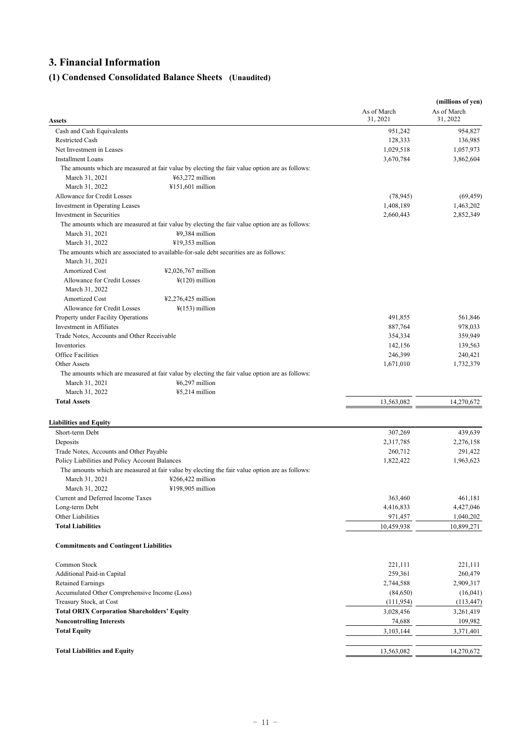# **3. Financial Information**

# **(1) Condensed Consolidated Balance Sheets (Unaudited)**

| Assets                                                                                                   | As of March<br>31, 2021 | (millions of yen)<br>As of March<br>31, 2022 |
|----------------------------------------------------------------------------------------------------------|-------------------------|----------------------------------------------|
| Cash and Cash Equivalents                                                                                | 951,242                 | 954,827                                      |
| <b>Restricted Cash</b>                                                                                   | 128,333                 | 136,985                                      |
| Net Investment in Leases                                                                                 | 1,029,518               | 1,057,973                                    |
| <b>Installment Loans</b>                                                                                 | 3,670,784               | 3,862,604                                    |
| The amounts which are measured at fair value by electing the fair value option are as follows:           |                         |                                              |
| ¥63,272 million<br>March 31, 2021                                                                        |                         |                                              |
| March 31, 2022<br>¥151,601 million                                                                       |                         |                                              |
| Allowance for Credit Losses                                                                              | (78, 945)               | (69, 459)                                    |
| Investment in Operating Leases                                                                           | 1,408,189               | 1,463,202                                    |
| Investment in Securities                                                                                 | 2,660,443               | 2,852,349                                    |
| The amounts which are measured at fair value by electing the fair value option are as follows:           |                         |                                              |
| ¥9,384 million<br>March 31, 2021                                                                         |                         |                                              |
| ¥19,353 million<br>March 31, 2022                                                                        |                         |                                              |
| The amounts which are associated to available-for-sale debt securities are as follows:<br>March 31, 2021 |                         |                                              |
| Amortized Cost<br>¥2,026,767 million                                                                     |                         |                                              |
| Allowance for Credit Losses<br>$\frac{1}{2}$ (120) million                                               |                         |                                              |
| March 31, 2022                                                                                           |                         |                                              |
| Amortized Cost<br>$42,276,425$ million                                                                   |                         |                                              |
| Allowance for Credit Losses<br>$\frac{1}{2}(153)$ million                                                |                         |                                              |
| Property under Facility Operations                                                                       | 491,855                 | 561,846                                      |
| Investment in Affiliates                                                                                 | 887,764                 | 978,033                                      |
| Trade Notes, Accounts and Other Receivable                                                               | 354,334                 | 359,949                                      |
| Inventories                                                                                              | 142,156                 | 139,563                                      |
| <b>Office Facilities</b>                                                                                 | 246,399                 | 240,421                                      |
| Other Assets                                                                                             | 1,671,010               | 1,732,379                                    |
| The amounts which are measured at fair value by electing the fair value option are as follows:           |                         |                                              |
| ¥6,297 million<br>March 31, 2021                                                                         |                         |                                              |
| March 31, 2022<br>¥5,214 million                                                                         |                         |                                              |
| <b>Total Assets</b>                                                                                      | 13,563,082              | 14,270,672                                   |
| <b>Liabilities and Equity</b>                                                                            |                         |                                              |
| Short-term Debt                                                                                          | 307,269                 | 439,639                                      |
| Deposits                                                                                                 | 2,317,785               | 2,276,158                                    |
| Trade Notes, Accounts and Other Payable                                                                  | 260,712                 | 291,422                                      |
| Policy Liabilities and Policy Account Balances                                                           | 1,822,422               | 1,963,623                                    |
| The amounts which are measured at fair value by electing the fair value option are as follows:           |                         |                                              |
| ¥266,422 million<br>March 31, 2021                                                                       |                         |                                              |
| March 31, 2022<br>¥198,905 million                                                                       |                         |                                              |
| Current and Deferred Income Taxes                                                                        | 363,460                 | 461,181                                      |
| Long-term Debt                                                                                           | 4,416,833               | 4,427,046                                    |
| Other Liabilities                                                                                        | 971,457                 | 1,040,202                                    |
| <b>Total Liabilities</b>                                                                                 | 10,459,938              | 10,899,271                                   |
| <b>Commitments and Contingent Liabilities</b>                                                            |                         |                                              |
| Common Stock                                                                                             | 221,111                 | 221,111                                      |
| Additional Paid-in Capital                                                                               | 259,361                 | 260,479                                      |
| <b>Retained Earnings</b>                                                                                 | 2,744,588               | 2,909,317                                    |
| Accumulated Other Comprehensive Income (Loss)                                                            | (84,650)                | (16,041)                                     |
| Treasury Stock, at Cost                                                                                  | (111, 954)              | (113, 447)                                   |
| <b>Total ORIX Corporation Shareholders' Equity</b>                                                       | 3,028,456               | 3,261,419                                    |
| <b>Noncontrolling Interests</b>                                                                          | 74,688                  | 109,982                                      |
| <b>Total Equity</b>                                                                                      | 3,103,144               | 3,371,401                                    |
| <b>Total Liabilities and Equity</b>                                                                      | 13,563,082              | 14,270,672                                   |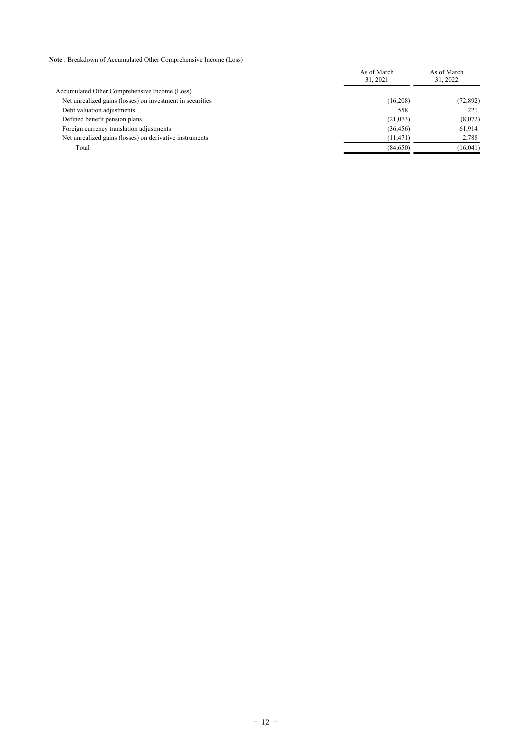**Note** : Breakdown of Accumulated Other Comprehensive Income (Loss)

|                                                           | As of March<br>31, 2021 | As of March<br>31, 2022 |
|-----------------------------------------------------------|-------------------------|-------------------------|
| Accumulated Other Comprehensive Income (Loss)             |                         |                         |
| Net unrealized gains (losses) on investment in securities | (16,208)                | (72, 892)               |
| Debt valuation adjustments                                | 558                     | 221                     |
| Defined benefit pension plans                             | (21,073)                | (8,072)                 |
| Foreign currency translation adjustments                  | (36, 456)               | 61.914                  |
| Net unrealized gains (losses) on derivative instruments   | (11, 471)               | 2,788                   |
| Total                                                     | (84, 650)               | (16, 041)               |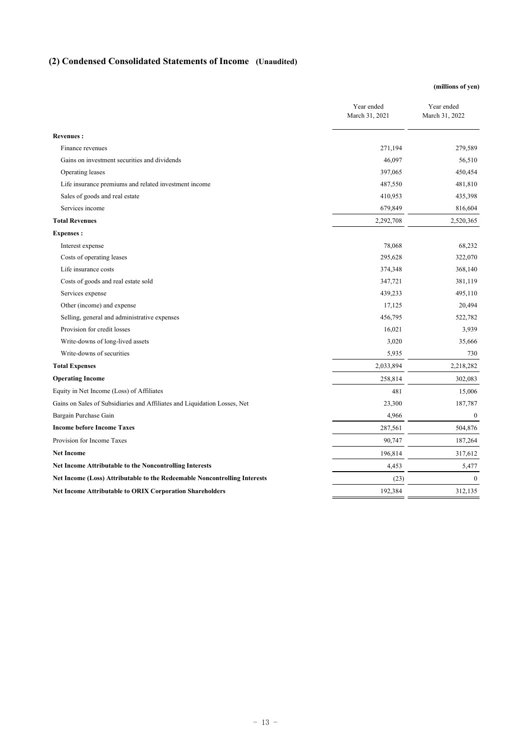# **(2) Condensed Consolidated Statements of Income (Unaudited)**

### **(millions of yen)**

|                                                                           | Year ended<br>March 31, 2021 | Year ended<br>March 31, 2022 |
|---------------------------------------------------------------------------|------------------------------|------------------------------|
| <b>Revenues:</b>                                                          |                              |                              |
| Finance revenues                                                          | 271,194                      | 279,589                      |
| Gains on investment securities and dividends                              | 46,097                       | 56,510                       |
| Operating leases                                                          | 397,065                      | 450,454                      |
| Life insurance premiums and related investment income                     | 487,550                      | 481,810                      |
| Sales of goods and real estate                                            | 410,953                      | 435,398                      |
| Services income                                                           | 679,849                      | 816,604                      |
| <b>Total Revenues</b>                                                     | 2,292,708                    | 2,520,365                    |
| <b>Expenses:</b>                                                          |                              |                              |
| Interest expense                                                          | 78,068                       | 68,232                       |
| Costs of operating leases                                                 | 295,628                      | 322,070                      |
| Life insurance costs                                                      | 374,348                      | 368,140                      |
| Costs of goods and real estate sold                                       | 347,721                      | 381,119                      |
| Services expense                                                          | 439,233                      | 495,110                      |
| Other (income) and expense                                                | 17,125                       | 20,494                       |
| Selling, general and administrative expenses                              | 456,795                      | 522,782                      |
| Provision for credit losses                                               | 16,021                       | 3,939                        |
| Write-downs of long-lived assets                                          | 3,020                        | 35,666                       |
| Write-downs of securities                                                 | 5,935                        | 730                          |
| <b>Total Expenses</b>                                                     | 2,033,894                    | 2,218,282                    |
| <b>Operating Income</b>                                                   | 258,814                      | 302,083                      |
| Equity in Net Income (Loss) of Affiliates                                 | 481                          | 15,006                       |
| Gains on Sales of Subsidiaries and Affiliates and Liquidation Losses, Net | 23,300                       | 187,787                      |
| Bargain Purchase Gain                                                     | 4,966                        | $\mathbf{0}$                 |
| <b>Income before Income Taxes</b>                                         | 287,561                      | 504,876                      |
| Provision for Income Taxes                                                | 90,747                       | 187,264                      |
| <b>Net Income</b>                                                         | 196,814                      | 317,612                      |
| Net Income Attributable to the Noncontrolling Interests                   | 4,453                        | 5,477                        |
| Net Income (Loss) Attributable to the Redeemable Noncontrolling Interests | (23)                         | $\mathbf{0}$                 |
| Net Income Attributable to ORIX Corporation Shareholders                  | 192,384                      | 312,135                      |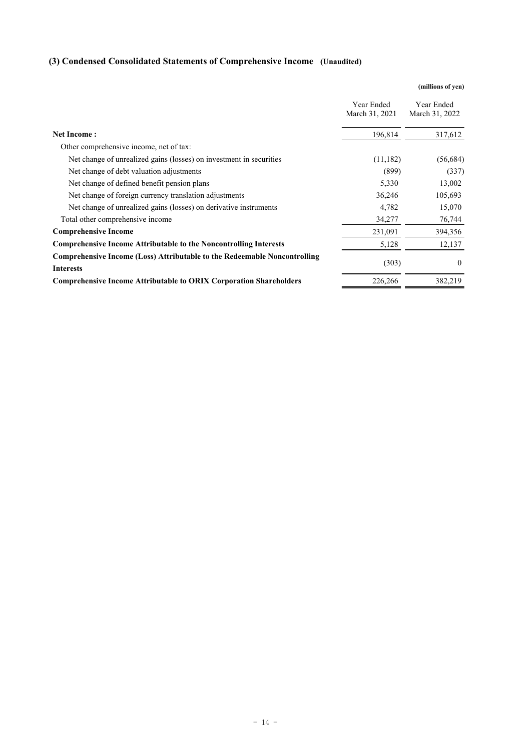# **(3) Condensed Consolidated Statements of Comprehensive Income (Unaudited)**

|                                                                                                      |                              | (millions of yen)            |
|------------------------------------------------------------------------------------------------------|------------------------------|------------------------------|
|                                                                                                      | Year Ended<br>March 31, 2021 | Year Ended<br>March 31, 2022 |
| <b>Net Income:</b>                                                                                   | 196,814                      | 317,612                      |
| Other comprehensive income, net of tax:                                                              |                              |                              |
| Net change of unrealized gains (losses) on investment in securities                                  | (11, 182)                    | (56, 684)                    |
| Net change of debt valuation adjustments                                                             | (899)                        | (337)                        |
| Net change of defined benefit pension plans                                                          | 5,330                        | 13,002                       |
| Net change of foreign currency translation adjustments                                               | 36,246                       | 105,693                      |
| Net change of unrealized gains (losses) on derivative instruments                                    | 4,782                        | 15,070                       |
| Total other comprehensive income                                                                     | 34,277                       | 76,744                       |
| <b>Comprehensive Income</b>                                                                          | 231,091                      | 394,356                      |
| <b>Comprehensive Income Attributable to the Noncontrolling Interests</b>                             | 5,128                        | 12,137                       |
| <b>Comprehensive Income (Loss) Attributable to the Redeemable Noncontrolling</b><br><b>Interests</b> | (303)                        | $\theta$                     |
| <b>Comprehensive Income Attributable to ORIX Corporation Shareholders</b>                            | 226,266                      | 382,219                      |
|                                                                                                      |                              |                              |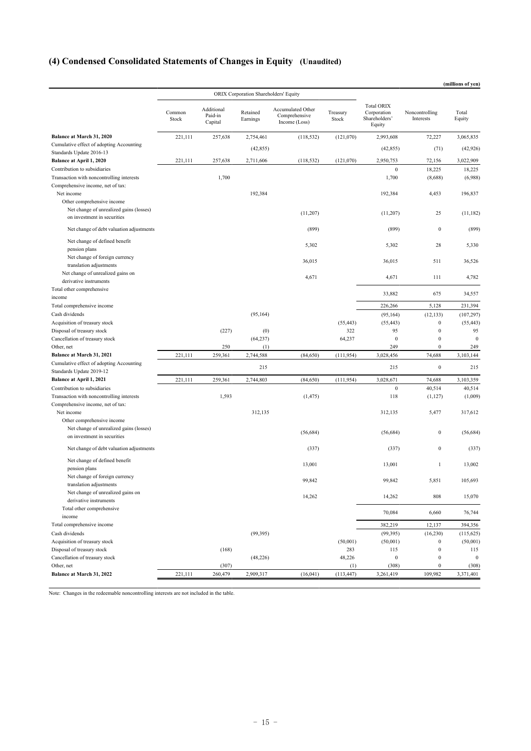# **(4) Condensed Consolidated Statements of Changes in Equity (Unaudited)**

|                                                                       |                 |                                  |                                       |                                                     |                   |                                                             |                                      | (millions of yen)       |
|-----------------------------------------------------------------------|-----------------|----------------------------------|---------------------------------------|-----------------------------------------------------|-------------------|-------------------------------------------------------------|--------------------------------------|-------------------------|
|                                                                       |                 |                                  | ORIX Corporation Shareholders' Equity |                                                     |                   |                                                             |                                      |                         |
|                                                                       | Common<br>Stock | Additional<br>Paid-in<br>Capital | Retained<br>Earnings                  | Accumulated Other<br>Comprehensive<br>Income (Loss) | Treasury<br>Stock | <b>Total ORIX</b><br>Corporation<br>Shareholders'<br>Equity | Noncontrolling<br>Interests          | Total<br>Equity         |
| Balance at March 31, 2020                                             | 221,111         | 257,638                          | 2,754,461                             | (118, 532)                                          | (121,070)         | 2,993,608                                                   | 72,227                               | 3,065,835               |
| Cumulative effect of adopting Accounting                              |                 |                                  | (42, 855)                             |                                                     |                   | (42, 855)                                                   | (71)                                 | (42, 926)               |
| Standards Update 2016-13                                              |                 |                                  |                                       |                                                     |                   |                                                             |                                      |                         |
| Balance at April 1, 2020<br>Contribution to subsidiaries              | 221,111         | 257,638                          | 2,711,606                             | (118, 532)                                          | (121,070)         | 2,950,753<br>$\bf{0}$                                       | 72,156                               | 3,022,909               |
| Transaction with noncontrolling interests                             |                 | 1,700                            |                                       |                                                     |                   | 1,700                                                       | 18,225<br>(8,688)                    | 18,225<br>(6,988)       |
| Comprehensive income, net of tax:                                     |                 |                                  |                                       |                                                     |                   |                                                             |                                      |                         |
| Net income                                                            |                 |                                  | 192,384                               |                                                     |                   | 192,384                                                     | 4,453                                | 196,837                 |
| Other comprehensive income<br>Net change of unrealized gains (losses) |                 |                                  |                                       |                                                     |                   |                                                             |                                      |                         |
| on investment in securities                                           |                 |                                  |                                       | (11,207)                                            |                   | (11,207)                                                    | 25                                   | (11, 182)               |
| Net change of debt valuation adjustments                              |                 |                                  |                                       | (899)                                               |                   | (899)                                                       | $\boldsymbol{0}$                     | (899)                   |
| Net change of defined benefit<br>pension plans                        |                 |                                  |                                       | 5,302                                               |                   | 5,302                                                       | 28                                   | 5,330                   |
| Net change of foreign currency                                        |                 |                                  |                                       | 36,015                                              |                   | 36,015                                                      | 511                                  | 36,526                  |
| translation adjustments<br>Net change of unrealized gains on          |                 |                                  |                                       |                                                     |                   |                                                             |                                      |                         |
| derivative instruments                                                |                 |                                  |                                       | 4,671                                               |                   | 4,671                                                       | 111                                  | 4,782                   |
| Total other comprehensive                                             |                 |                                  |                                       |                                                     |                   | 33,882                                                      | 675                                  | 34,557                  |
| income                                                                |                 |                                  |                                       |                                                     |                   |                                                             |                                      |                         |
| Total comprehensive income<br>Cash dividends                          |                 |                                  |                                       |                                                     |                   | 226,266                                                     | 5,128                                | 231,394                 |
| Acquisition of treasury stock                                         |                 |                                  | (95, 164)                             |                                                     | (55, 443)         | (95, 164)<br>(55, 443)                                      | (12, 133)<br>$\boldsymbol{0}$        | (107, 297)<br>(55, 443) |
| Disposal of treasury stock                                            |                 | (227)                            | (0)                                   |                                                     | 322               | 95                                                          | $\boldsymbol{0}$                     | 95                      |
| Cancellation of treasury stock                                        |                 |                                  | (64, 237)                             |                                                     | 64,237            | $\mathbf{0}$                                                | $\boldsymbol{0}$                     | $\Omega$                |
| Other, net                                                            |                 | 250                              | (1)                                   |                                                     |                   | 249                                                         | $\mathbf{0}$                         | 249                     |
| Balance at March 31, 2021                                             | 221,111         | 259,361                          | 2,744,588                             | (84, 650)                                           | (111, 954)        | 3,028,456                                                   | 74,688                               | 3,103,144               |
| Cumulative effect of adopting Accounting                              |                 |                                  | 215                                   |                                                     |                   | 215                                                         | $\bf{0}$                             | 215                     |
| Standards Update 2019-12                                              |                 |                                  |                                       |                                                     |                   |                                                             |                                      |                         |
| Balance at April 1, 2021                                              | 221,111         | 259,361                          | 2,744,803                             | (84,650)                                            | (111, 954)        | 3,028,671                                                   | 74,688                               | 3,103,359               |
| Contribution to subsidiaries                                          |                 |                                  |                                       |                                                     |                   | $\boldsymbol{0}$                                            | 40,514                               | 40,514                  |
| Transaction with noncontrolling interests                             |                 | 1,593                            |                                       | (1, 475)                                            |                   | 118                                                         | (1, 127)                             | (1,009)                 |
| Comprehensive income, net of tax:<br>Net income                       |                 |                                  | 312,135                               |                                                     |                   | 312,135                                                     | 5,477                                | 317,612                 |
| Other comprehensive income                                            |                 |                                  |                                       |                                                     |                   |                                                             |                                      |                         |
| Net change of unrealized gains (losses)                               |                 |                                  |                                       |                                                     |                   |                                                             |                                      |                         |
| on investment in securities                                           |                 |                                  |                                       | (56, 684)                                           |                   | (56, 684)                                                   | $\boldsymbol{0}$                     | (56, 684)               |
| Net change of debt valuation adjustments                              |                 |                                  |                                       | (337)                                               |                   | (337)                                                       | $\boldsymbol{0}$                     | (337)                   |
| Net change of defined benefit<br>pension plans                        |                 |                                  |                                       | 13,001                                              |                   | 13,001                                                      | $\mathbf{1}$                         | 13,002                  |
| Net change of foreign currency<br>translation adjustments             |                 |                                  |                                       | 99,842                                              |                   | 99,842                                                      | 5,851                                | 105,693                 |
| Net change of unrealized gains on<br>derivative instruments           |                 |                                  |                                       | 14,262                                              |                   | 14,262                                                      | 808                                  | 15,070                  |
| Total other comprehensive                                             |                 |                                  |                                       |                                                     |                   | 70,084                                                      | 6,660                                | 76,744                  |
| income                                                                |                 |                                  |                                       |                                                     |                   |                                                             |                                      |                         |
| Total comprehensive income                                            |                 |                                  |                                       |                                                     |                   | 382,219                                                     | 12,137                               | 394,356                 |
| Cash dividends                                                        |                 |                                  | (99, 395)                             |                                                     |                   | (99, 395)                                                   | (16, 230)                            | (115, 625)              |
| Acquisition of treasury stock                                         |                 |                                  |                                       |                                                     | (50,001)          | (50,001)                                                    | $\boldsymbol{0}$                     | (50,001)                |
| Disposal of treasury stock<br>Cancellation of treasury stock          |                 | (168)                            | (48, 226)                             |                                                     | 283<br>48,226     | 115<br>$\boldsymbol{0}$                                     | $\boldsymbol{0}$<br>$\boldsymbol{0}$ | 115<br>$\boldsymbol{0}$ |
| Other, net                                                            |                 | (307)                            |                                       |                                                     | (1)               | (308)                                                       | $\bf{0}$                             | (308)                   |
| Balance at March 31, 2022                                             | 221,111         | 260,479                          | 2,909,317                             | (16, 041)                                           | (113, 447)        | 3,261,419                                                   | 109,982                              | 3,371,401               |
|                                                                       |                 |                                  |                                       |                                                     |                   |                                                             |                                      |                         |

Note: Changes in the redeemable noncontrolling interests are not included in the table.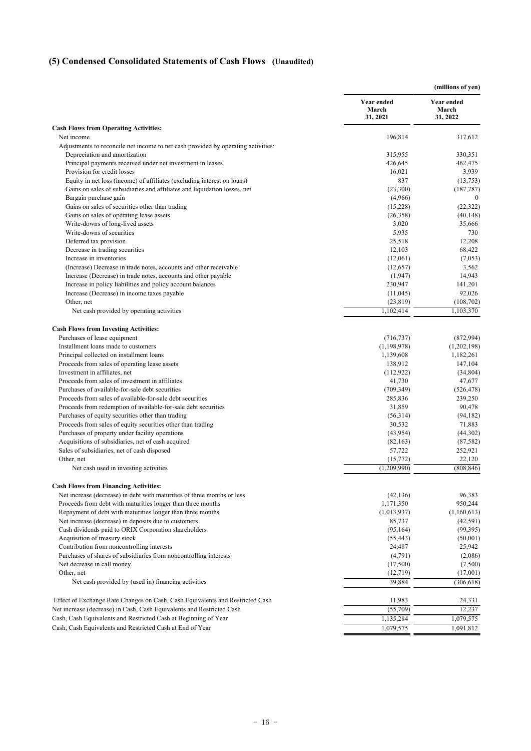# **(5) Condensed Consolidated Statements of Cash Flows (Unaudited)**

|                                                                                                   |                                 | (millions of yen)               |
|---------------------------------------------------------------------------------------------------|---------------------------------|---------------------------------|
|                                                                                                   | Year ended<br>March<br>31, 2021 | Year ended<br>March<br>31, 2022 |
| <b>Cash Flows from Operating Activities:</b>                                                      |                                 |                                 |
| Net income                                                                                        | 196,814                         | 317,612                         |
| Adjustments to reconcile net income to net cash provided by operating activities:                 |                                 |                                 |
| Depreciation and amortization                                                                     | 315,955                         | 330,351                         |
| Principal payments received under net investment in leases<br>Provision for credit losses         | 426,645<br>16,021               | 462,475<br>3,939                |
| Equity in net loss (income) of affiliates (excluding interest on loans)                           | 837                             | (13,753)                        |
| Gains on sales of subsidiaries and affiliates and liquidation losses, net                         | (23,300)                        | (187, 787)                      |
| Bargain purchase gain                                                                             | (4,966)                         | $\boldsymbol{0}$                |
| Gains on sales of securities other than trading                                                   | (15,228)                        | (22, 322)                       |
| Gains on sales of operating lease assets                                                          | (26,358)                        | (40, 148)                       |
| Write-downs of long-lived assets                                                                  | 3,020                           | 35,666                          |
| Write-downs of securities                                                                         | 5,935                           | 730                             |
| Deferred tax provision                                                                            | 25,518                          | 12,208                          |
| Decrease in trading securities                                                                    | 12,103                          | 68,422                          |
| Increase in inventories                                                                           | (12,061)                        | (7,053)                         |
| (Increase) Decrease in trade notes, accounts and other receivable                                 | (12,657)                        | 3,562                           |
| Increase (Decrease) in trade notes, accounts and other payable                                    | (1,947)                         | 14,943                          |
| Increase in policy liabilities and policy account balances                                        | 230,947                         | 141,201                         |
| Increase (Decrease) in income taxes payable                                                       | (11,045)                        | 92,026                          |
| Other, net                                                                                        | (23, 819)                       | (108, 702)                      |
| Net cash provided by operating activities                                                         | 1,102,414                       | 1,103,370                       |
| <b>Cash Flows from Investing Activities:</b>                                                      |                                 |                                 |
| Purchases of lease equipment                                                                      | (716, 737)                      | (872, 994)                      |
| Installment loans made to customers                                                               | (1, 198, 978)                   | (1,202,198)                     |
| Principal collected on installment loans                                                          | 1,139,608                       | 1,182,261                       |
| Proceeds from sales of operating lease assets                                                     | 138,912                         | 147,104                         |
| Investment in affiliates, net                                                                     | (112,922)                       | (34, 804)                       |
| Proceeds from sales of investment in affiliates                                                   | 41,730                          | 47,677                          |
| Purchases of available-for-sale debt securities                                                   | (709, 349)                      | (526, 478)                      |
| Proceeds from sales of available-for-sale debt securities                                         | 285,836                         | 239,250                         |
| Proceeds from redemption of available-for-sale debt securities                                    | 31,859                          | 90,478                          |
| Purchases of equity securities other than trading                                                 | (56,314)                        | (94, 182)                       |
| Proceeds from sales of equity securities other than trading                                       | 30,532                          | 71,883                          |
| Purchases of property under facility operations                                                   | (43, 954)                       | (44,302)                        |
| Acquisitions of subsidiaries, net of cash acquired<br>Sales of subsidiaries, net of cash disposed | (82, 163)<br>57,722             | (87, 582)                       |
| Other, net                                                                                        | (15,772)                        | 252,921<br>22,120               |
| Net cash used in investing activities                                                             | (1,209,990)                     | (808, 846)                      |
| <b>Cash Flows from Financing Activities:</b>                                                      |                                 |                                 |
| Net increase (decrease) in debt with maturities of three months or less                           | (42, 136)                       | 96,383                          |
| Proceeds from debt with maturities longer than three months                                       | 1,171,350                       | 950,244                         |
| Repayment of debt with maturities longer than three months                                        | (1,013,937)                     | (1,160,613)                     |
| Net increase (decrease) in deposits due to customers                                              | 85,737                          | (42, 591)                       |
| Cash dividends paid to ORIX Corporation shareholders                                              | (95, 164)                       | (99, 395)                       |
| Acquisition of treasury stock                                                                     | (55, 443)                       | (50,001)                        |
| Contribution from noncontrolling interests                                                        | 24,487                          | 25,942                          |
| Purchases of shares of subsidiaries from noncontrolling interests                                 | (4,791)                         | (2,086)                         |
| Net decrease in call money                                                                        | (17,500)                        | (7,500)                         |
| Other, net                                                                                        | (12,719)                        | (17,001)                        |
| Net cash provided by (used in) financing activities                                               | 39,884                          | (306, 618)                      |
| Effect of Exchange Rate Changes on Cash, Cash Equivalents and Restricted Cash                     | 11,983                          | 24,331                          |
| Net increase (decrease) in Cash, Cash Equivalents and Restricted Cash                             | (55,709)                        | 12,237                          |
| Cash, Cash Equivalents and Restricted Cash at Beginning of Year                                   | 1,135,284                       | 1,079,575                       |
| Cash, Cash Equivalents and Restricted Cash at End of Year                                         | 1,079,575                       | 1,091,812                       |
|                                                                                                   |                                 |                                 |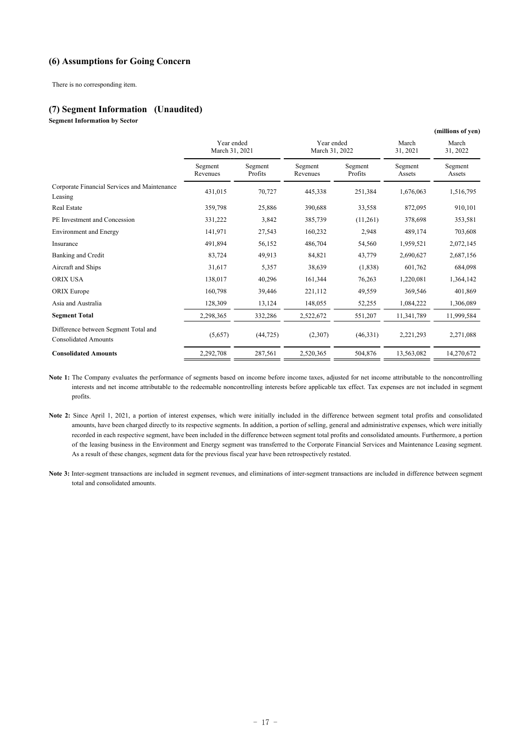### **(6) Assumptions for Going Concern**

There is no corresponding item.

#### **(7) Segment Information (Unaudited)**

**Segment Information by Sector**

|                                                                     |                              |                    |                              |                    |                   | (millions of yen) |
|---------------------------------------------------------------------|------------------------------|--------------------|------------------------------|--------------------|-------------------|-------------------|
|                                                                     | Year ended<br>March 31, 2021 |                    | Year ended<br>March 31, 2022 |                    | March<br>31, 2021 | March<br>31, 2022 |
|                                                                     | Segment<br>Revenues          | Segment<br>Profits | Segment<br>Revenues          | Segment<br>Profits | Segment<br>Assets | Segment<br>Assets |
| Corporate Financial Services and Maintenance<br>Leasing             | 431.015                      | 70.727             | 445,338                      | 251,384            | 1.676.063         | 1,516,795         |
| Real Estate                                                         | 359,798                      | 25,886             | 390,688                      | 33,558             | 872,095           | 910,101           |
| PE Investment and Concession                                        | 331,222                      | 3,842              | 385,739                      | (11,261)           | 378,698           | 353,581           |
| <b>Environment and Energy</b>                                       | 141,971                      | 27,543             | 160,232                      | 2,948              | 489,174           | 703,608           |
| Insurance                                                           | 491,894                      | 56,152             | 486,704                      | 54,560             | 1,959,521         | 2,072,145         |
| Banking and Credit                                                  | 83,724                       | 49,913             | 84,821                       | 43,779             | 2,690,627         | 2,687,156         |
| Aircraft and Ships                                                  | 31,617                       | 5,357              | 38,639                       | (1,838)            | 601,762           | 684,098           |
| <b>ORIX USA</b>                                                     | 138,017                      | 40,296             | 161,344                      | 76,263             | 1,220,081         | 1,364,142         |
| <b>ORIX</b> Europe                                                  | 160,798                      | 39,446             | 221,112                      | 49,559             | 369,546           | 401,869           |
| Asia and Australia                                                  | 128,309                      | 13,124             | 148,055                      | 52,255             | 1,084,222         | 1,306,089         |
| <b>Segment Total</b>                                                | 2,298,365                    | 332,286            | 2,522,672                    | 551,207            | 11,341,789        | 11,999,584        |
| Difference between Segment Total and<br><b>Consolidated Amounts</b> | (5,657)                      | (44, 725)          | (2,307)                      | (46,331)           | 2,221,293         | 2,271,088         |
| <b>Consolidated Amounts</b>                                         | 2,292,708                    | 287,561            | 2,520,365                    | 504,876            | 13,563,082        | 14,270,672        |

Note 1: The Company evaluates the performance of segments based on income before income taxes, adjusted for net income attributable to the noncontrolling interests and net income attributable to the redeemable noncontrolling interests before applicable tax effect. Tax expenses are not included in segment profits.

- Note 2: Since April 1, 2021, a portion of interest expenses, which were initially included in the difference between segment total profits and consolidated amounts, have been charged directly to its respective segments. In addition, a portion of selling, general and administrative expenses, which were initially recorded in each respective segment, have been included in the difference between segment total profits and consolidated amounts. Furthermore, a portion of the leasing business in the Environment and Energy segment was transferred to the Corporate Financial Services and Maintenance Leasing segment. As a result of these changes, segment data for the previous fiscal year have been retrospectively restated.
- **Note 3:** Inter-segment transactions are included in segment revenues, and eliminations of inter-segment transactions are included in difference between segment total and consolidated amounts.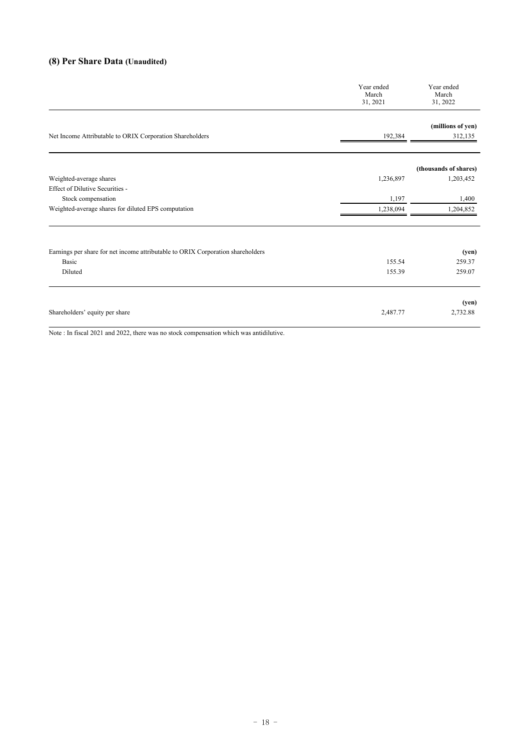# **(8) Per Share Data (Unaudited)**

| Year ended<br>March<br>31, 2021 | Year ended<br>March<br>31, 2022 |
|---------------------------------|---------------------------------|
|                                 | (millions of yen)               |
| 192,384                         | 312,135                         |
|                                 | (thousands of shares)           |
| 1,236,897                       | 1,203,452                       |
|                                 |                                 |
| 1,197                           | 1,400                           |
| 1,238,094                       | 1,204,852                       |
|                                 | (yen)                           |
| 155.54                          | 259.37                          |
| 155.39                          | 259.07                          |
| 2,487.77                        | (yen)<br>2,732.88               |
|                                 |                                 |

Note : In fiscal 2021 and 2022, there was no stock compensation which was antidilutive.